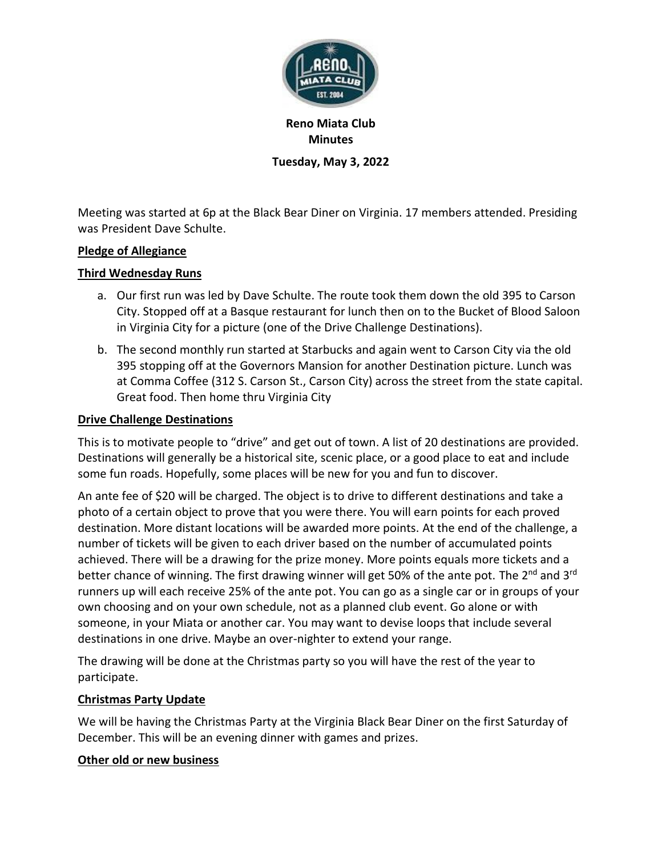

**Reno Miata Club Minutes Tuesday, May 3, 2022**

Meeting was started at 6p at the Black Bear Diner on Virginia. 17 members attended. Presiding was President Dave Schulte.

# **Pledge of Allegiance**

# **Third Wednesday Runs**

- a. Our first run was led by Dave Schulte. The route took them down the old 395 to Carson City. Stopped off at a Basque restaurant for lunch then on to the Bucket of Blood Saloon in Virginia City for a picture (one of the Drive Challenge Destinations).
- b. The second monthly run started at Starbucks and again went to Carson City via the old 395 stopping off at the Governors Mansion for another Destination picture. Lunch was at Comma Coffee (312 S. Carson St., Carson City) across the street from the state capital. Great food. Then home thru Virginia City

## **Drive Challenge Destinations**

This is to motivate people to "drive" and get out of town. A list of 20 destinations are provided. Destinations will generally be a historical site, scenic place, or a good place to eat and include some fun roads. Hopefully, some places will be new for you and fun to discover.

An ante fee of \$20 will be charged. The object is to drive to different destinations and take a photo of a certain object to prove that you were there. You will earn points for each proved destination. More distant locations will be awarded more points. At the end of the challenge, a number of tickets will be given to each driver based on the number of accumulated points achieved. There will be a drawing for the prize money. More points equals more tickets and a better chance of winning. The first drawing winner will get 50% of the ante pot. The 2<sup>nd</sup> and 3<sup>rd</sup> runners up will each receive 25% of the ante pot. You can go as a single car or in groups of your own choosing and on your own schedule, not as a planned club event. Go alone or with someone, in your Miata or another car. You may want to devise loops that include several destinations in one drive. Maybe an over-nighter to extend your range.

The drawing will be done at the Christmas party so you will have the rest of the year to participate.

### **Christmas Party Update**

We will be having the Christmas Party at the Virginia Black Bear Diner on the first Saturday of December. This will be an evening dinner with games and prizes.

### **Other old or new business**